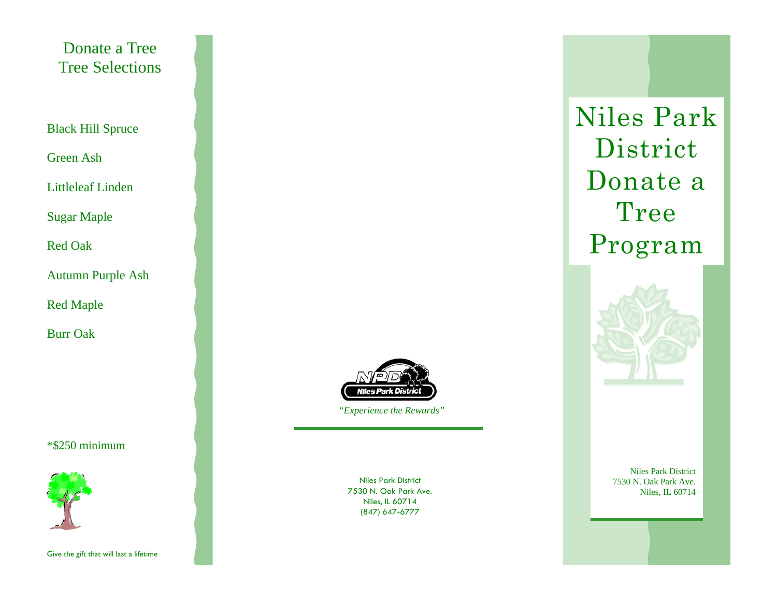Donate a Tree Tree Selections

Black Hill Spruce

Green Ash

Littleleaf Linden

Sugar Maple

Red Oak

Autumn Purple Ash

Red Maple

Burr Oak

\*\$250 minimum



Give the gift that will last a lifetime



 *"Experience the Rewards"*

Niles Park District 7530 N. Oak Park Ave. Niles, IL 60714 (847) 647-6777

Niles Park District Donate a Tree Program



Niles Park District 7530 N. Oak Park Ave. Niles, IL 60714